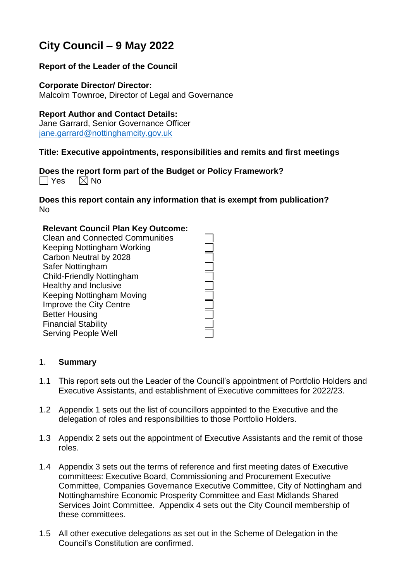# **City Council – 9 May 2022**

# **Report of the Leader of the Council**

**Corporate Director/ Director:** Malcolm Townroe, Director of Legal and Governance

#### **Report Author and Contact Details:**

Jane Garrard, Senior Governance Officer [jane.garrard@nottinghamcity.gov.uk](mailto:jane.garrard@nottinghamcity.gov.uk)

## **Title: Executive appointments, responsibilities and remits and first meetings**

**Does the report form part of the Budget or Policy Framework?**  $\Box$  Yes  $\boxtimes$  No

**Does this report contain any information that is exempt from publication?** No

#### **Relevant Council Plan Key Outcome:**

Clean and Connected Communities Keeping Nottingham Working Carbon Neutral by 2028 Safer Nottingham Child-Friendly Nottingham Healthy and Inclusive Keeping Nottingham Moving Improve the City Centre Better Housing Financial Stability Serving People Well

#### 1. **Summary**

- 1.1 This report sets out the Leader of the Council's appointment of Portfolio Holders and Executive Assistants, and establishment of Executive committees for 2022/23.
- 1.2 Appendix 1 sets out the list of councillors appointed to the Executive and the delegation of roles and responsibilities to those Portfolio Holders.
- 1.3 Appendix 2 sets out the appointment of Executive Assistants and the remit of those roles.
- 1.4 Appendix 3 sets out the terms of reference and first meeting dates of Executive committees: Executive Board, Commissioning and Procurement Executive Committee, Companies Governance Executive Committee, City of Nottingham and Nottinghamshire Economic Prosperity Committee and East Midlands Shared Services Joint Committee. Appendix 4 sets out the City Council membership of these committees.
- 1.5 All other executive delegations as set out in the Scheme of Delegation in the Council's Constitution are confirmed.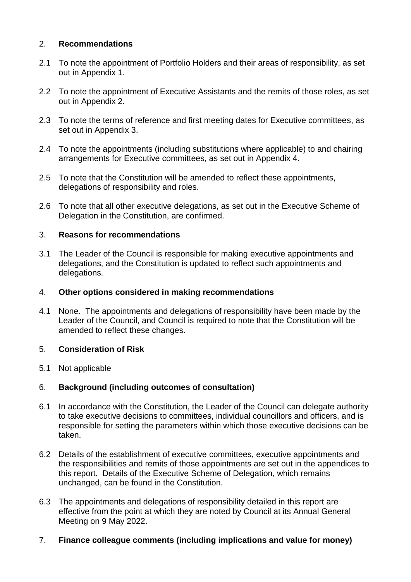# 2. **Recommendations**

- 2.1 To note the appointment of Portfolio Holders and their areas of responsibility, as set out in Appendix 1.
- 2.2 To note the appointment of Executive Assistants and the remits of those roles, as set out in Appendix 2.
- 2.3 To note the terms of reference and first meeting dates for Executive committees, as set out in Appendix 3.
- 2.4 To note the appointments (including substitutions where applicable) to and chairing arrangements for Executive committees, as set out in Appendix 4.
- 2.5 To note that the Constitution will be amended to reflect these appointments, delegations of responsibility and roles.
- 2.6 To note that all other executive delegations, as set out in the Executive Scheme of Delegation in the Constitution, are confirmed.

#### 3. **Reasons for recommendations**

3.1 The Leader of the Council is responsible for making executive appointments and delegations, and the Constitution is updated to reflect such appointments and delegations.

#### 4. **Other options considered in making recommendations**

4.1 None. The appointments and delegations of responsibility have been made by the Leader of the Council, and Council is required to note that the Constitution will be amended to reflect these changes.

#### 5. **Consideration of Risk**

5.1 Not applicable

#### 6. **Background (including outcomes of consultation)**

- 6.1 In accordance with the Constitution, the Leader of the Council can delegate authority to take executive decisions to committees, individual councillors and officers, and is responsible for setting the parameters within which those executive decisions can be taken.
- 6.2 Details of the establishment of executive committees, executive appointments and the responsibilities and remits of those appointments are set out in the appendices to this report. Details of the Executive Scheme of Delegation, which remains unchanged, can be found in the Constitution.
- 6.3 The appointments and delegations of responsibility detailed in this report are effective from the point at which they are noted by Council at its Annual General Meeting on 9 May 2022.
- 7. **Finance colleague comments (including implications and value for money)**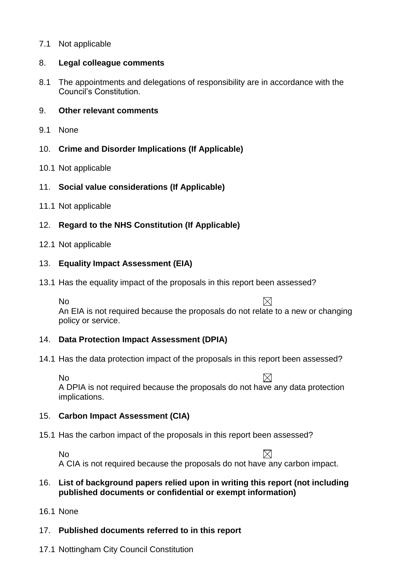# 7.1 Not applicable

#### 8. **Legal colleague comments**

8.1 The appointments and delegations of responsibility are in accordance with the Council's Constitution.

#### 9. **Other relevant comments**

9.1 None

# 10. **Crime and Disorder Implications (If Applicable)**

- 10.1 Not applicable
- 11. **Social value considerations (If Applicable)**
- 11.1 Not applicable

# 12. **Regard to the NHS Constitution (If Applicable)**

#### 12.1 Not applicable

# 13. **Equality Impact Assessment (EIA)**

13.1 Has the equality impact of the proposals in this report been assessed?

No  $\boxtimes$ An EIA is not required because the proposals do not relate to a new or changing policy or service.

# 14. **Data Protection Impact Assessment (DPIA)**

14.1 Has the data protection impact of the proposals in this report been assessed?

 $\boxtimes$ No A DPIA is not required because the proposals do not have any data protection implications.

#### 15. **Carbon Impact Assessment (CIA)**

15.1 Has the carbon impact of the proposals in this report been assessed?

 $\boxtimes$ No A CIA is not required because the proposals do not have any carbon impact.

## 16. **List of background papers relied upon in writing this report (not including published documents or confidential or exempt information)**

16.1 None

# 17. **Published documents referred to in this report**

17.1 Nottingham City Council Constitution